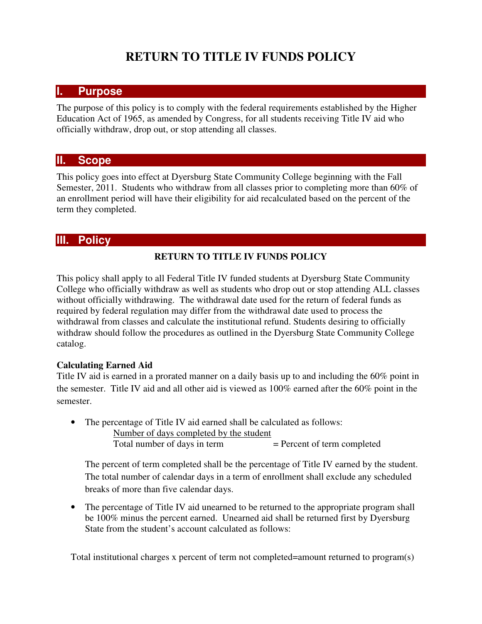# **RETURN TO TITLE IV FUNDS POLICY**

## **I. Purpose**

The purpose of this policy is to comply with the federal requirements established by the Higher Education Act of 1965, as amended by Congress, for all students receiving Title IV aid who officially withdraw, drop out, or stop attending all classes.

#### **II. Scope**

This policy goes into effect at Dyersburg State Community College beginning with the Fall Semester, 2011. Students who withdraw from all classes prior to completing more than 60% of an enrollment period will have their eligibility for aid recalculated based on the percent of the term they completed.

## **III. Policy**

#### **RETURN TO TITLE IV FUNDS POLICY**

This policy shall apply to all Federal Title IV funded students at Dyersburg State Community College who officially withdraw as well as students who drop out or stop attending ALL classes without officially withdrawing. The withdrawal date used for the return of federal funds as required by federal regulation may differ from the withdrawal date used to process the withdrawal from classes and calculate the institutional refund. Students desiring to officially withdraw should follow the procedures as outlined in the Dyersburg State Community College catalog.

#### **Calculating Earned Aid**

Title IV aid is earned in a prorated manner on a daily basis up to and including the 60% point in the semester. Title IV aid and all other aid is viewed as 100% earned after the 60% point in the semester.

- The percentage of Title IV aid earned shall be calculated as follows:
	- Number of days completed by the student Total number of days in term  $=$  Percent of term completed

The percent of term completed shall be the percentage of Title IV earned by the student. The total number of calendar days in a term of enrollment shall exclude any scheduled breaks of more than five calendar days.

• The percentage of Title IV aid unearned to be returned to the appropriate program shall be 100% minus the percent earned. Unearned aid shall be returned first by Dyersburg State from the student's account calculated as follows:

Total institutional charges x percent of term not completed=amount returned to program(s)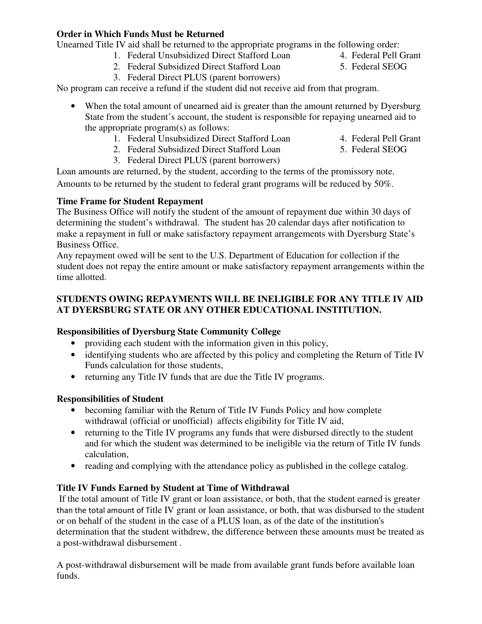#### **Order in Which Funds Must be Returned**

Unearned Title IV aid shall be returned to the appropriate programs in the following order:

- 1. Federal Unsubsidized Direct Stafford Loan 4. Federal Pell Grant
- 2. Federal Subsidized Direct Stafford Loan 5. Federal SEOG
- 3. Federal Direct PLUS (parent borrowers)

No program can receive a refund if the student did not receive aid from that program.

- When the total amount of unearned aid is greater than the amount returned by Dyersburg State from the student's account, the student is responsible for repaying unearned aid to the appropriate program(s) as follows:
	- 1. Federal Unsubsidized Direct Stafford Loan 4. Federal Pell Grant
- - 2. Federal Subsidized Direct Stafford Loan 5. Federal SEOG 3. Federal Direct PLUS (parent borrowers)

Loan amounts are returned, by the student, according to the terms of the promissory note. Amounts to be returned by the student to federal grant programs will be reduced by 50%.

#### **Time Frame for Student Repayment**

The Business Office will notify the student of the amount of repayment due within 30 days of determining the student's withdrawal. The student has 20 calendar days after notification to make a repayment in full or make satisfactory repayment arrangements with Dyersburg State's Business Office.

Any repayment owed will be sent to the U.S. Department of Education for collection if the student does not repay the entire amount or make satisfactory repayment arrangements within the time allotted.

#### **STUDENTS OWING REPAYMENTS WILL BE INELIGIBLE FOR ANY TITLE IV AID AT DYERSBURG STATE OR ANY OTHER EDUCATIONAL INSTITUTION.**

## **Responsibilities of Dyersburg State Community College**

- providing each student with the information given in this policy,
- identifying students who are affected by this policy and completing the Return of Title IV Funds calculation for those students,
- returning any Title IV funds that are due the Title IV programs.

## **Responsibilities of Student**

- becoming familiar with the Return of Title IV Funds Policy and how complete withdrawal (official or unofficial) affects eligibility for Title IV aid,
- returning to the Title IV programs any funds that were disbursed directly to the student and for which the student was determined to be ineligible via the return of Title IV funds calculation,
- reading and complying with the attendance policy as published in the college catalog.

## **Title IV Funds Earned by Student at Time of Withdrawal**

 If the total amount of Title IV grant or loan assistance, or both, that the student earned is greater than the total amount of Title IV grant or loan assistance, or both, that was disbursed to the student or on behalf of the student in the case of a PLUS loan, as of the date of the institution's determination that the student withdrew, the difference between these amounts must be treated as a post-withdrawal disbursement .

A post-withdrawal disbursement will be made from available grant funds before available loan funds.

- 
-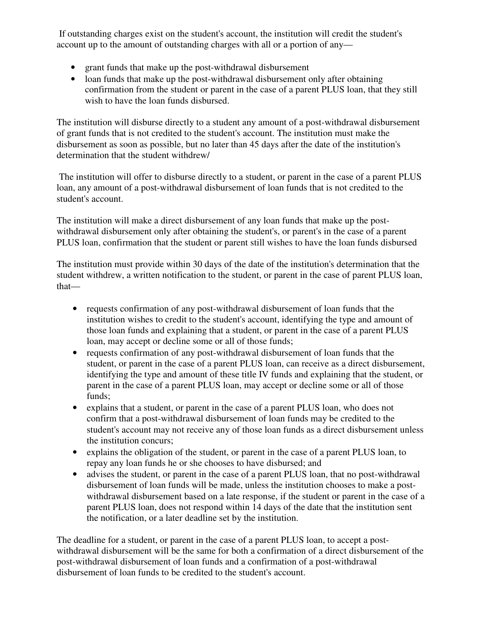If outstanding charges exist on the student's account, the institution will credit the student's account up to the amount of outstanding charges with all or a portion of any—

- grant funds that make up the post-withdrawal disbursement
- loan funds that make up the post-withdrawal disbursement only after obtaining confirmation from the student or parent in the case of a parent PLUS loan, that they still wish to have the loan funds disbursed.

The institution will disburse directly to a student any amount of a post-withdrawal disbursement of grant funds that is not credited to the student's account. The institution must make the disbursement as soon as possible, but no later than 45 days after the date of the institution's determination that the student withdrew/

 The institution will offer to disburse directly to a student, or parent in the case of a parent PLUS loan, any amount of a post-withdrawal disbursement of loan funds that is not credited to the student's account.

The institution will make a direct disbursement of any loan funds that make up the postwithdrawal disbursement only after obtaining the student's, or parent's in the case of a parent PLUS loan, confirmation that the student or parent still wishes to have the loan funds disbursed

The institution must provide within 30 days of the date of the institution's determination that the student withdrew, a written notification to the student, or parent in the case of parent PLUS loan, that—

- requests confirmation of any post-withdrawal disbursement of loan funds that the institution wishes to credit to the student's account, identifying the type and amount of those loan funds and explaining that a student, or parent in the case of a parent PLUS loan, may accept or decline some or all of those funds;
- requests confirmation of any post-withdrawal disbursement of loan funds that the student, or parent in the case of a parent PLUS loan, can receive as a direct disbursement, identifying the type and amount of these title IV funds and explaining that the student, or parent in the case of a parent PLUS loan, may accept or decline some or all of those funds;
- explains that a student, or parent in the case of a parent PLUS loan, who does not confirm that a post-withdrawal disbursement of loan funds may be credited to the student's account may not receive any of those loan funds as a direct disbursement unless the institution concurs;
- explains the obligation of the student, or parent in the case of a parent PLUS loan, to repay any loan funds he or she chooses to have disbursed; and
- advises the student, or parent in the case of a parent PLUS loan, that no post-withdrawal disbursement of loan funds will be made, unless the institution chooses to make a postwithdrawal disbursement based on a late response, if the student or parent in the case of a parent PLUS loan, does not respond within 14 days of the date that the institution sent the notification, or a later deadline set by the institution.

The deadline for a student, or parent in the case of a parent PLUS loan, to accept a postwithdrawal disbursement will be the same for both a confirmation of a direct disbursement of the post-withdrawal disbursement of loan funds and a confirmation of a post-withdrawal disbursement of loan funds to be credited to the student's account.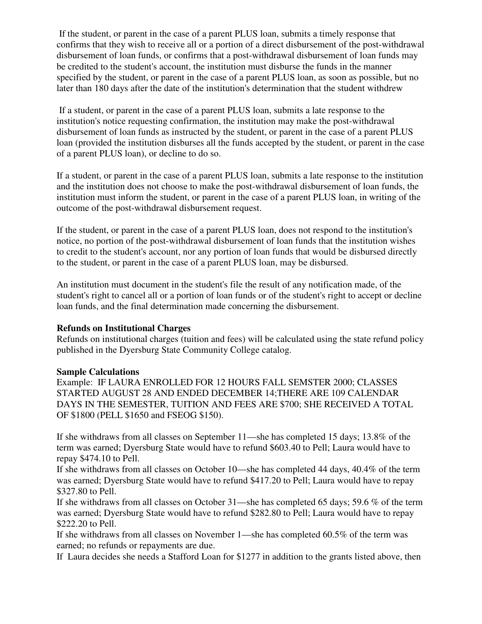If the student, or parent in the case of a parent PLUS loan, submits a timely response that confirms that they wish to receive all or a portion of a direct disbursement of the post-withdrawal disbursement of loan funds, or confirms that a post-withdrawal disbursement of loan funds may be credited to the student's account, the institution must disburse the funds in the manner specified by the student, or parent in the case of a parent PLUS loan, as soon as possible, but no later than 180 days after the date of the institution's determination that the student withdrew

 If a student, or parent in the case of a parent PLUS loan, submits a late response to the institution's notice requesting confirmation, the institution may make the post-withdrawal disbursement of loan funds as instructed by the student, or parent in the case of a parent PLUS loan (provided the institution disburses all the funds accepted by the student, or parent in the case of a parent PLUS loan), or decline to do so.

If a student, or parent in the case of a parent PLUS loan, submits a late response to the institution and the institution does not choose to make the post-withdrawal disbursement of loan funds, the institution must inform the student, or parent in the case of a parent PLUS loan, in writing of the outcome of the post-withdrawal disbursement request.

If the student, or parent in the case of a parent PLUS loan, does not respond to the institution's notice, no portion of the post-withdrawal disbursement of loan funds that the institution wishes to credit to the student's account, nor any portion of loan funds that would be disbursed directly to the student, or parent in the case of a parent PLUS loan, may be disbursed.

An institution must document in the student's file the result of any notification made, of the student's right to cancel all or a portion of loan funds or of the student's right to accept or decline loan funds, and the final determination made concerning the disbursement.

#### **Refunds on Institutional Charges**

Refunds on institutional charges (tuition and fees) will be calculated using the state refund policy published in the Dyersburg State Community College catalog.

#### **Sample Calculations**

Example: IF LAURA ENROLLED FOR 12 HOURS FALL SEMSTER 2000; CLASSES STARTED AUGUST 28 AND ENDED DECEMBER 14;THERE ARE 109 CALENDAR DAYS IN THE SEMESTER, TUITION AND FEES ARE \$700; SHE RECEIVED A TOTAL OF \$1800 (PELL \$1650 and FSEOG \$150).

If she withdraws from all classes on September 11—she has completed 15 days; 13.8% of the term was earned; Dyersburg State would have to refund \$603.40 to Pell; Laura would have to repay \$474.10 to Pell.

If she withdraws from all classes on October 10—she has completed 44 days, 40.4% of the term was earned; Dyersburg State would have to refund \$417.20 to Pell; Laura would have to repay \$327.80 to Pell.

If she withdraws from all classes on October 31—she has completed 65 days; 59.6 % of the term was earned; Dyersburg State would have to refund \$282.80 to Pell; Laura would have to repay \$222.20 to Pell.

If she withdraws from all classes on November 1—she has completed 60.5% of the term was earned; no refunds or repayments are due.

If Laura decides she needs a Stafford Loan for \$1277 in addition to the grants listed above, then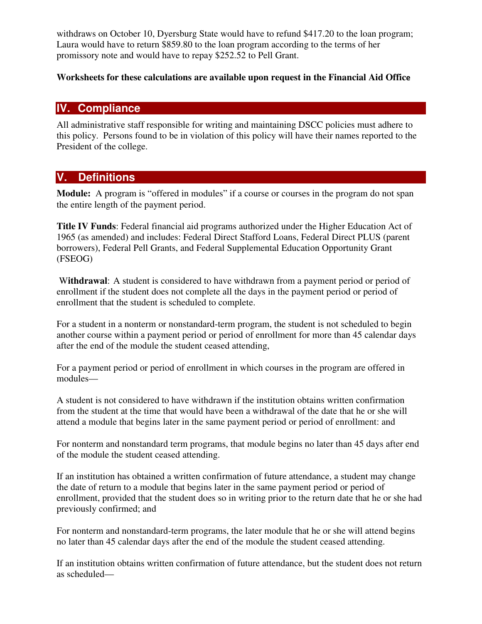withdraws on October 10, Dyersburg State would have to refund \$417.20 to the loan program; Laura would have to return \$859.80 to the loan program according to the terms of her promissory note and would have to repay \$252.52 to Pell Grant.

#### **Worksheets for these calculations are available upon request in the Financial Aid Offic**e

## **IV. Compliance**

All administrative staff responsible for writing and maintaining DSCC policies must adhere to this policy. Persons found to be in violation of this policy will have their names reported to the President of the college.

# **V. Definitions**

**Module:** A program is "offered in modules" if a course or courses in the program do not span the entire length of the payment period.

**Title IV Funds**: Federal financial aid programs authorized under the Higher Education Act of 1965 (as amended) and includes: Federal Direct Stafford Loans, Federal Direct PLUS (parent borrowers), Federal Pell Grants, and Federal Supplemental Education Opportunity Grant (FSEOG)

 W**ithdrawal**: A student is considered to have withdrawn from a payment period or period of enrollment if the student does not complete all the days in the payment period or period of enrollment that the student is scheduled to complete.

For a student in a nonterm or nonstandard-term program, the student is not scheduled to begin another course within a payment period or period of enrollment for more than 45 calendar days after the end of the module the student ceased attending,

For a payment period or period of enrollment in which courses in the program are offered in modules—

A student is not considered to have withdrawn if the institution obtains written confirmation from the student at the time that would have been a withdrawal of the date that he or she will attend a module that begins later in the same payment period or period of enrollment: and

For nonterm and nonstandard term programs, that module begins no later than 45 days after end of the module the student ceased attending.

If an institution has obtained a written confirmation of future attendance, a student may change the date of return to a module that begins later in the same payment period or period of enrollment, provided that the student does so in writing prior to the return date that he or she had previously confirmed; and

For nonterm and nonstandard-term programs, the later module that he or she will attend begins no later than 45 calendar days after the end of the module the student ceased attending.

If an institution obtains written confirmation of future attendance, but the student does not return as scheduled